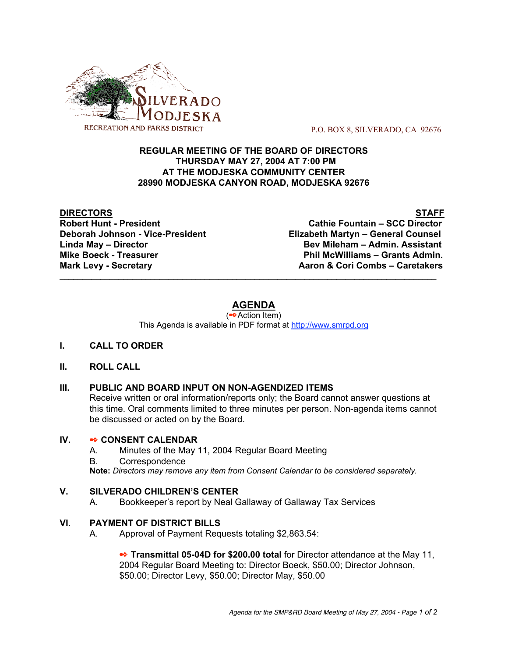

P.O. BOX 8, SILVERADO, CA 92676

### **REGULAR MEETING OF THE BOARD OF DIRECTORS THURSDAY MAY 27, 2004 AT 7:00 PM AT THE MODJESKA COMMUNITY CENTER 28990 MODJESKA CANYON ROAD, MODJESKA 92676**

**DIRECTORS** STAFF **Robert Hunt - President Cathie Fountain – SCC Director Deborah Johnson - Vice-President Elizabeth Martyn – General Counsel Linda May – Director Bev Mileham – Admin. Assistant Mike Boeck - Treasurer Phil McWilliams – Grants Admin. Mark Levy - Secretary Aaron & Cori Combs – Caretakers**

# **AGENDA**

 $\mathcal{L}_\text{max}$  , and the contribution of the contribution of the contribution of the contribution of the contribution of the contribution of the contribution of the contribution of the contribution of the contribution of t

(✒Action Item) This Agenda is available in PDF format at http://www.smrpd.org

# **I. CALL TO ORDER**

# **II. ROLL CALL**

# **III. PUBLIC AND BOARD INPUT ON NON-AGENDIZED ITEMS**

Receive written or oral information/reports only; the Board cannot answer questions at this time. Oral comments limited to three minutes per person. Non-agenda items cannot be discussed or acted on by the Board.

# **IV.** ✒ **CONSENT CALENDAR**

- A. Minutes of the May 11, 2004 Regular Board Meeting
- B. Correspondence

**Note:** *Directors may remove any item from Consent Calendar to be considered separately.*

# **V. SILVERADO CHILDREN'S CENTER**

A. Bookkeeper's report by Neal Gallaway of Gallaway Tax Services

# **VI. PAYMENT OF DISTRICT BILLS**

A. Approval of Payment Requests totaling \$2,863.54:

**■ Transmittal 05-04D for \$200.00 total** for Director attendance at the May 11, 2004 Regular Board Meeting to: Director Boeck, \$50.00; Director Johnson, \$50.00; Director Levy, \$50.00; Director May, \$50.00